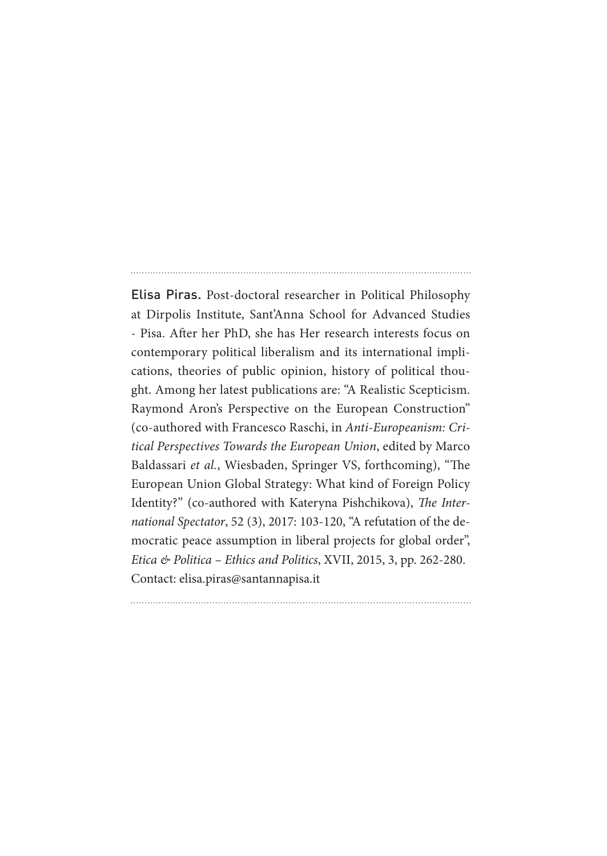Elisa Piras. Post-doctoral researcher in Political Philosophy at Dirpolis Institute, Sant'Anna School for Advanced Studies - Pisa. After her PhD, she has Her research interests focus on contemporary political liberalism and its international implications, theories of public opinion, history of political thought. Among her latest publications are: "A Realistic Scepticism. Raymond Aron's Perspective on the European Construction" (co-authored with Francesco Raschi, in *Anti-Europeanism: Critical Perspectives Towards the European Union*, edited by Marco Baldassari *et al.*, Wiesbaden, Springer VS, forthcoming), "The European Union Global Strategy: What kind of Foreign Policy Identity?" (co-authored with Kateryna Pishchikova), *The International Spectator*, 52 (3), 2017: 103-120, "A refutation of the democratic peace assumption in liberal projects for global order", *Etica & Politica – Ethics and Politics*, XVII, 2015, 3, pp. 262-280. Contact: elisa.piras@santannapisa.it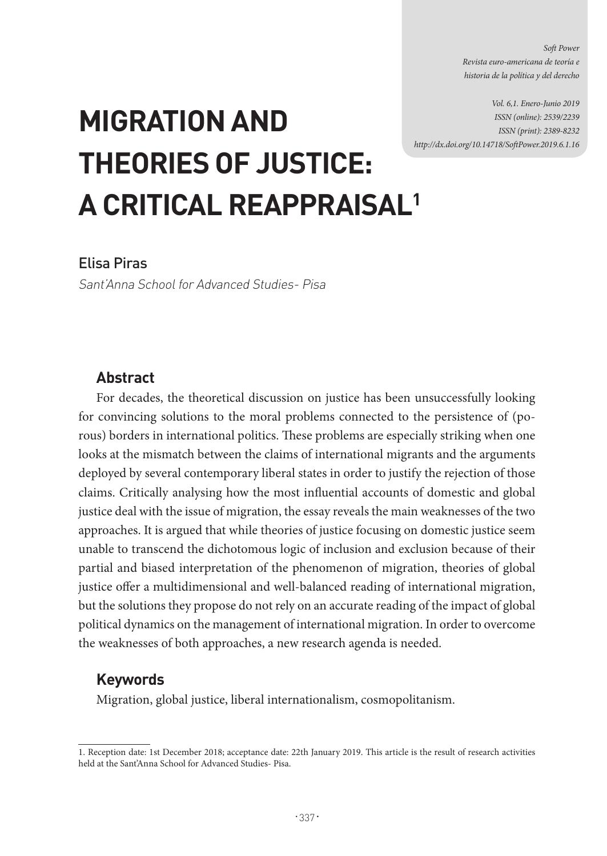*Soft Power Revista euro-americana de teoría e historia de la política y del derecho*

*Vol. 6,1. Enero-Junio 2019 ISSN (online): 2539/2239 ISSN (print): 2389-8232 http://dx.doi.org/10.14718/SoftPower.2019.6.1.16*

# **MIGRATION AND THEORIES OF JUSTICE: A CRITICAL REAPPRAISAL1**

# Elisa Piras

Sant'Anna School for Advanced Studies- Pisa

## **Abstract**

For decades, the theoretical discussion on justice has been unsuccessfully looking for convincing solutions to the moral problems connected to the persistence of (porous) borders in international politics. These problems are especially striking when one looks at the mismatch between the claims of international migrants and the arguments deployed by several contemporary liberal states in order to justify the rejection of those claims. Critically analysing how the most influential accounts of domestic and global justice deal with the issue of migration, the essay reveals the main weaknesses of the two approaches. It is argued that while theories of justice focusing on domestic justice seem unable to transcend the dichotomous logic of inclusion and exclusion because of their partial and biased interpretation of the phenomenon of migration, theories of global justice offer a multidimensional and well-balanced reading of international migration, but the solutions they propose do not rely on an accurate reading of the impact of global political dynamics on the management of international migration. In order to overcome the weaknesses of both approaches, a new research agenda is needed.

## **Keywords**

Migration, global justice, liberal internationalism, cosmopolitanism.

<sup>1.</sup> Reception date: 1st December 2018; acceptance date: 22th January 2019. This article is the result of research activities held at the Sant'Anna School for Advanced Studies- Pisa.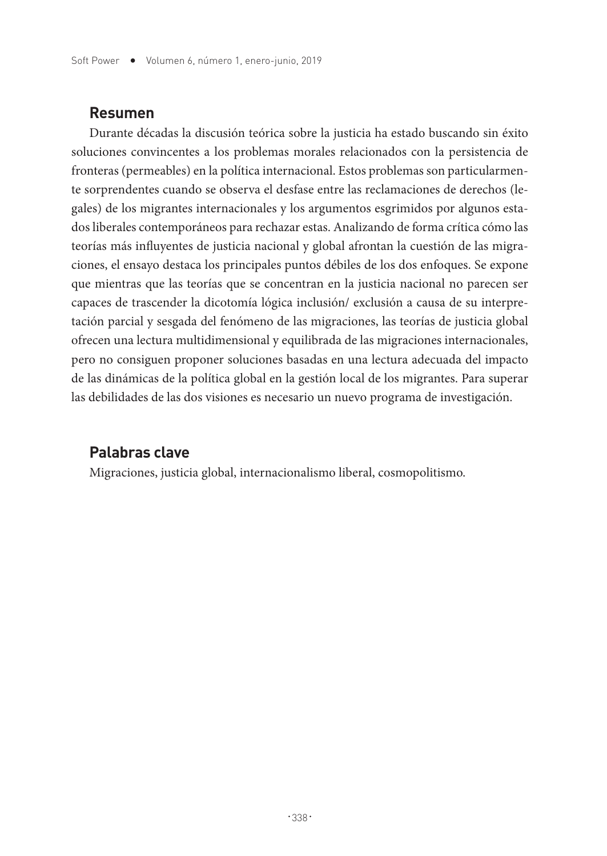## **Resumen**

Durante décadas la discusión teórica sobre la justicia ha estado buscando sin éxito soluciones convincentes a los problemas morales relacionados con la persistencia de fronteras (permeables) en la política internacional. Estos problemas son particularmente sorprendentes cuando se observa el desfase entre las reclamaciones de derechos (legales) de los migrantes internacionales y los argumentos esgrimidos por algunos estados liberales contemporáneos para rechazar estas. Analizando de forma crítica cómo las teorías más influyentes de justicia nacional y global afrontan la cuestión de las migraciones, el ensayo destaca los principales puntos débiles de los dos enfoques. Se expone que mientras que las teorías que se concentran en la justicia nacional no parecen ser capaces de trascender la dicotomía lógica inclusión/ exclusión a causa de su interpretación parcial y sesgada del fenómeno de las migraciones, las teorías de justicia global ofrecen una lectura multidimensional y equilibrada de las migraciones internacionales, pero no consiguen proponer soluciones basadas en una lectura adecuada del impacto de las dinámicas de la política global en la gestión local de los migrantes. Para superar las debilidades de las dos visiones es necesario un nuevo programa de investigación.

# **Palabras clave**

Migraciones, justicia global, internacionalismo liberal, cosmopolitismo.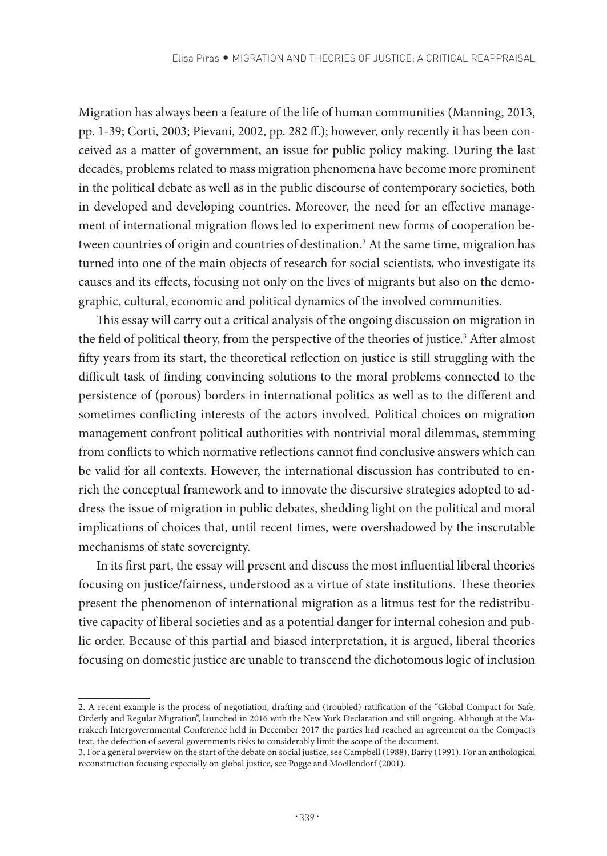Migration has always been a feature of the life of human communities (Manning, 2013, pp. 1-39; Corti, 2003; Pievani, 2002, pp. 282 ff.); however, only recently it has been conceived as a matter of government, an issue for public policy making. During the last decades, problems related to mass migration phenomena have become more prominent in the political debate as well as in the public discourse of contemporary societies, both in developed and developing countries. Moreover, the need for an effective management of international migration flows led to experiment new forms of cooperation between countries of origin and countries of destination.2 At the same time, migration has turned into one of the main objects of research for social scientists, who investigate its causes and its effects, focusing not only on the lives of migrants but also on the demographic, cultural, economic and political dynamics of the involved communities.

This essay will carry out a critical analysis of the ongoing discussion on migration in the field of political theory, from the perspective of the theories of justice.<sup>3</sup> After almost fifty years from its start, the theoretical reflection on justice is still struggling with the difficult task of finding convincing solutions to the moral problems connected to the persistence of (porous) borders in international politics as well as to the different and sometimes conflicting interests of the actors involved. Political choices on migration management confront political authorities with nontrivial moral dilemmas, stemming from conflicts to which normative reflections cannot find conclusive answers which can be valid for all contexts. However, the international discussion has contributed to enrich the conceptual framework and to innovate the discursive strategies adopted to address the issue of migration in public debates, shedding light on the political and moral implications of choices that, until recent times, were overshadowed by the inscrutable mechanisms of state sovereignty.

In its first part, the essay will present and discuss the most influential liberal theories focusing on justice/fairness, understood as a virtue of state institutions. These theories present the phenomenon of international migration as a litmus test for the redistributive capacity of liberal societies and as a potential danger for internal cohesion and public order. Because of this partial and biased interpretation, it is argued, liberal theories focusing on domestic justice are unable to transcend the dichotomous logic of inclusion

<sup>2.</sup> A recent example is the process of negotiation, drafting and (troubled) ratification of the "Global Compact for Safe, Orderly and Regular Migration", launched in 2016 with the New York Declaration and still ongoing. Although at the Marrakech Intergovernmental Conference held in December 2017 the parties had reached an agreement on the Compact's text, the defection of several governments risks to considerably limit the scope of the document.

<sup>3.</sup> For a general overview on the start of the debate on social justice, see Campbell (1988), Barry (1991). For an anthological reconstruction focusing especially on global justice, see Pogge and Moellendorf (2001).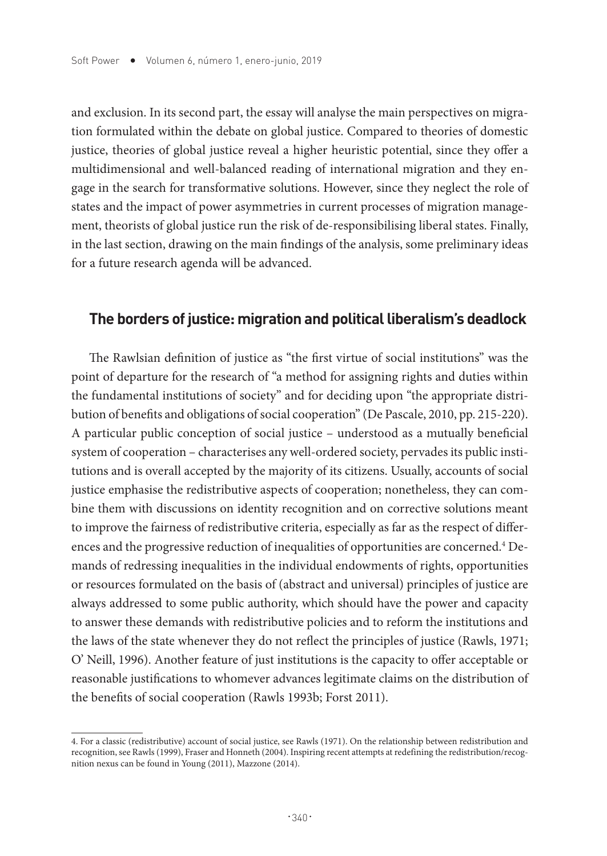and exclusion. In its second part, the essay will analyse the main perspectives on migration formulated within the debate on global justice. Compared to theories of domestic justice, theories of global justice reveal a higher heuristic potential, since they offer a multidimensional and well-balanced reading of international migration and they engage in the search for transformative solutions. However, since they neglect the role of states and the impact of power asymmetries in current processes of migration management, theorists of global justice run the risk of de-responsibilising liberal states. Finally, in the last section, drawing on the main findings of the analysis, some preliminary ideas for a future research agenda will be advanced.

## **The borders of justice: migration and political liberalism's deadlock**

The Rawlsian definition of justice as "the first virtue of social institutions" was the point of departure for the research of "a method for assigning rights and duties within the fundamental institutions of society" and for deciding upon "the appropriate distribution of benefits and obligations of social cooperation" (De Pascale, 2010, pp. 215-220). A particular public conception of social justice – understood as a mutually beneficial system of cooperation – characterises any well-ordered society, pervades its public institutions and is overall accepted by the majority of its citizens. Usually, accounts of social justice emphasise the redistributive aspects of cooperation; nonetheless, they can combine them with discussions on identity recognition and on corrective solutions meant to improve the fairness of redistributive criteria, especially as far as the respect of differences and the progressive reduction of inequalities of opportunities are concerned. $^{\textrm{4}}$  Demands of redressing inequalities in the individual endowments of rights, opportunities or resources formulated on the basis of (abstract and universal) principles of justice are always addressed to some public authority, which should have the power and capacity to answer these demands with redistributive policies and to reform the institutions and the laws of the state whenever they do not reflect the principles of justice (Rawls, 1971; O' Neill, 1996). Another feature of just institutions is the capacity to offer acceptable or reasonable justifications to whomever advances legitimate claims on the distribution of the benefits of social cooperation (Rawls 1993b; Forst 2011).

<sup>4.</sup> For a classic (redistributive) account of social justice, see Rawls (1971). On the relationship between redistribution and recognition, see Rawls (1999), Fraser and Honneth (2004). Inspiring recent attempts at redefining the redistribution/recognition nexus can be found in Young (2011), Mazzone (2014).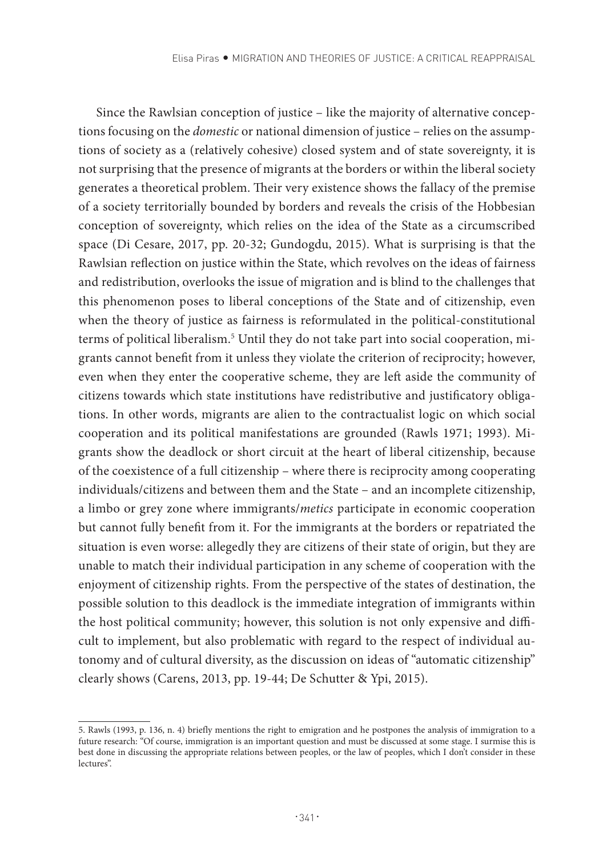Since the Rawlsian conception of justice – like the majority of alternative conceptions focusing on the *domestic* or national dimension of justice – relies on the assumptions of society as a (relatively cohesive) closed system and of state sovereignty, it is not surprising that the presence of migrants at the borders or within the liberal society generates a theoretical problem. Their very existence shows the fallacy of the premise of a society territorially bounded by borders and reveals the crisis of the Hobbesian conception of sovereignty, which relies on the idea of the State as a circumscribed space (Di Cesare, 2017, pp. 20-32; Gundogdu, 2015). What is surprising is that the Rawlsian reflection on justice within the State, which revolves on the ideas of fairness and redistribution, overlooks the issue of migration and is blind to the challenges that this phenomenon poses to liberal conceptions of the State and of citizenship, even when the theory of justice as fairness is reformulated in the political-constitutional terms of political liberalism.<sup>5</sup> Until they do not take part into social cooperation, migrants cannot benefit from it unless they violate the criterion of reciprocity; however, even when they enter the cooperative scheme, they are left aside the community of citizens towards which state institutions have redistributive and justificatory obligations. In other words, migrants are alien to the contractualist logic on which social cooperation and its political manifestations are grounded (Rawls 1971; 1993). Migrants show the deadlock or short circuit at the heart of liberal citizenship, because of the coexistence of a full citizenship – where there is reciprocity among cooperating individuals/citizens and between them and the State – and an incomplete citizenship, a limbo or grey zone where immigrants/*metics* participate in economic cooperation but cannot fully benefit from it. For the immigrants at the borders or repatriated the situation is even worse: allegedly they are citizens of their state of origin, but they are unable to match their individual participation in any scheme of cooperation with the enjoyment of citizenship rights. From the perspective of the states of destination, the possible solution to this deadlock is the immediate integration of immigrants within the host political community; however, this solution is not only expensive and difficult to implement, but also problematic with regard to the respect of individual autonomy and of cultural diversity, as the discussion on ideas of "automatic citizenship" clearly shows (Carens, 2013, pp. 19-44; De Schutter & Ypi, 2015).

<sup>5.</sup> Rawls (1993, p. 136, n. 4) briefly mentions the right to emigration and he postpones the analysis of immigration to a future research: "Of course, immigration is an important question and must be discussed at some stage. I surmise this is best done in discussing the appropriate relations between peoples, or the law of peoples, which I don't consider in these lectures".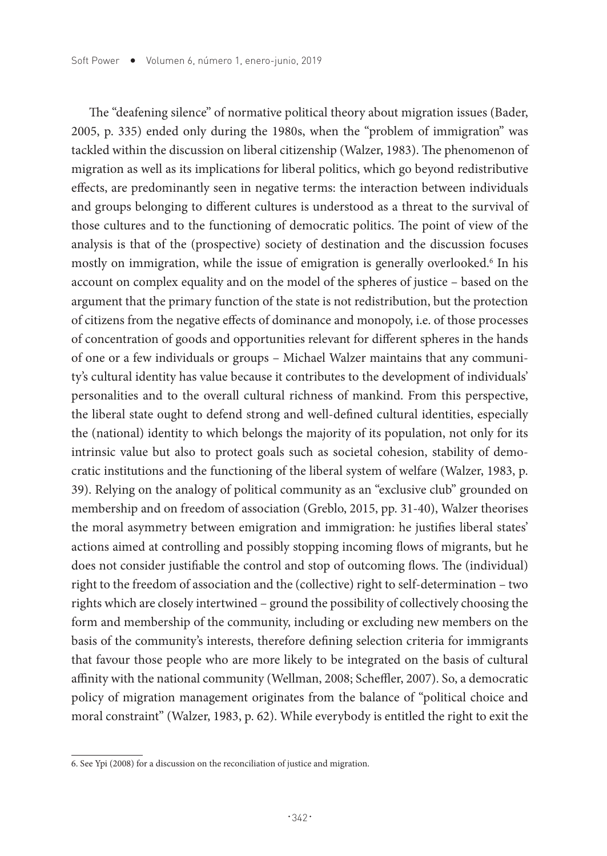The "deafening silence" of normative political theory about migration issues (Bader, 2005, p. 335) ended only during the 1980s, when the "problem of immigration" was tackled within the discussion on liberal citizenship (Walzer, 1983). The phenomenon of migration as well as its implications for liberal politics, which go beyond redistributive effects, are predominantly seen in negative terms: the interaction between individuals and groups belonging to different cultures is understood as a threat to the survival of those cultures and to the functioning of democratic politics. The point of view of the analysis is that of the (prospective) society of destination and the discussion focuses mostly on immigration, while the issue of emigration is generally overlooked.6 In his account on complex equality and on the model of the spheres of justice – based on the argument that the primary function of the state is not redistribution, but the protection of citizens from the negative effects of dominance and monopoly, i.e. of those processes of concentration of goods and opportunities relevant for different spheres in the hands of one or a few individuals or groups – Michael Walzer maintains that any community's cultural identity has value because it contributes to the development of individuals' personalities and to the overall cultural richness of mankind. From this perspective, the liberal state ought to defend strong and well-defined cultural identities, especially the (national) identity to which belongs the majority of its population, not only for its intrinsic value but also to protect goals such as societal cohesion, stability of democratic institutions and the functioning of the liberal system of welfare (Walzer, 1983, p. 39). Relying on the analogy of political community as an "exclusive club" grounded on membership and on freedom of association (Greblo, 2015, pp. 31-40), Walzer theorises the moral asymmetry between emigration and immigration: he justifies liberal states' actions aimed at controlling and possibly stopping incoming flows of migrants, but he does not consider justifiable the control and stop of outcoming flows. The (individual) right to the freedom of association and the (collective) right to self-determination – two rights which are closely intertwined – ground the possibility of collectively choosing the form and membership of the community, including or excluding new members on the basis of the community's interests, therefore defining selection criteria for immigrants that favour those people who are more likely to be integrated on the basis of cultural affinity with the national community (Wellman, 2008; Scheffler, 2007). So, a democratic policy of migration management originates from the balance of "political choice and moral constraint" (Walzer, 1983, p. 62). While everybody is entitled the right to exit the

<sup>6.</sup> See Ypi (2008) for a discussion on the reconciliation of justice and migration.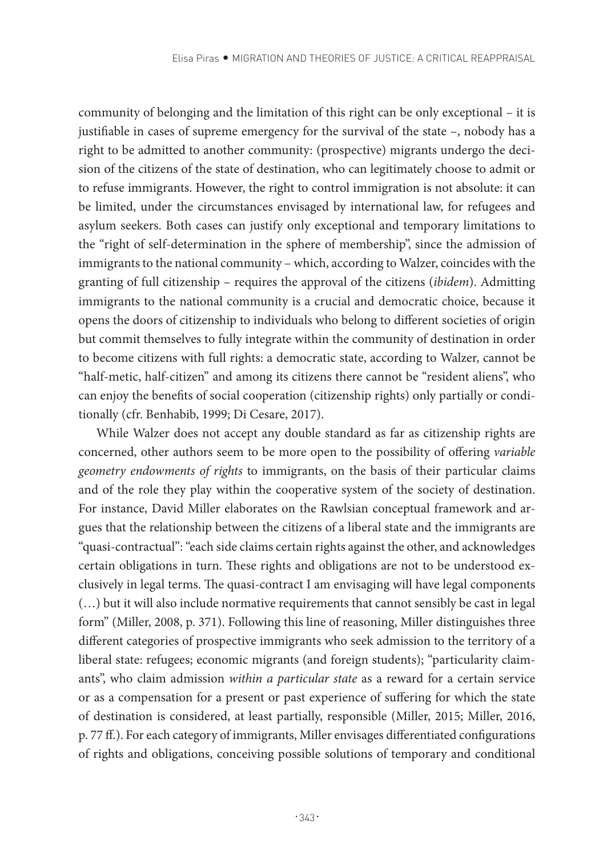community of belonging and the limitation of this right can be only exceptional – it is justifiable in cases of supreme emergency for the survival of the state –, nobody has a right to be admitted to another community: (prospective) migrants undergo the decision of the citizens of the state of destination, who can legitimately choose to admit or to refuse immigrants. However, the right to control immigration is not absolute: it can be limited, under the circumstances envisaged by international law, for refugees and asylum seekers. Both cases can justify only exceptional and temporary limitations to the "right of self-determination in the sphere of membership", since the admission of immigrants to the national community – which, according to Walzer, coincides with the granting of full citizenship – requires the approval of the citizens (*ibidem*). Admitting immigrants to the national community is a crucial and democratic choice, because it opens the doors of citizenship to individuals who belong to different societies of origin but commit themselves to fully integrate within the community of destination in order to become citizens with full rights: a democratic state, according to Walzer, cannot be "half-metic, half-citizen" and among its citizens there cannot be "resident aliens", who can enjoy the benefits of social cooperation (citizenship rights) only partially or conditionally (cfr. Benhabib, 1999; Di Cesare, 2017).

While Walzer does not accept any double standard as far as citizenship rights are concerned, other authors seem to be more open to the possibility of offering *variable geometry endowments of rights* to immigrants, on the basis of their particular claims and of the role they play within the cooperative system of the society of destination. For instance, David Miller elaborates on the Rawlsian conceptual framework and argues that the relationship between the citizens of a liberal state and the immigrants are "quasi-contractual": "each side claims certain rights against the other, and acknowledges certain obligations in turn. These rights and obligations are not to be understood exclusively in legal terms. The quasi-contract I am envisaging will have legal components (…) but it will also include normative requirements that cannot sensibly be cast in legal form" (Miller, 2008, p. 371). Following this line of reasoning, Miller distinguishes three different categories of prospective immigrants who seek admission to the territory of a liberal state: refugees; economic migrants (and foreign students); "particularity claimants", who claim admission *within a particular state* as a reward for a certain service or as a compensation for a present or past experience of suffering for which the state of destination is considered, at least partially, responsible (Miller, 2015; Miller, 2016, p. 77 ff.). For each category of immigrants, Miller envisages differentiated configurations of rights and obligations, conceiving possible solutions of temporary and conditional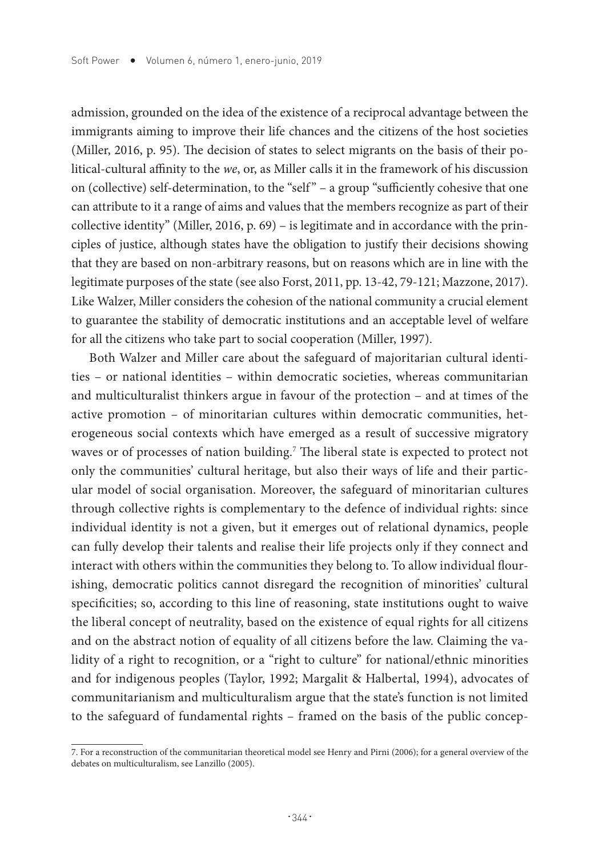admission, grounded on the idea of the existence of a reciprocal advantage between the immigrants aiming to improve their life chances and the citizens of the host societies (Miller, 2016, p. 95). The decision of states to select migrants on the basis of their political-cultural affinity to the *we*, or, as Miller calls it in the framework of his discussion on (collective) self-determination, to the "self " – a group "sufficiently cohesive that one can attribute to it a range of aims and values that the members recognize as part of their collective identity" (Miller, 2016, p. 69) – is legitimate and in accordance with the principles of justice, although states have the obligation to justify their decisions showing that they are based on non-arbitrary reasons, but on reasons which are in line with the legitimate purposes of the state (see also Forst, 2011, pp. 13-42, 79-121; Mazzone, 2017). Like Walzer, Miller considers the cohesion of the national community a crucial element to guarantee the stability of democratic institutions and an acceptable level of welfare for all the citizens who take part to social cooperation (Miller, 1997).

Both Walzer and Miller care about the safeguard of majoritarian cultural identities – or national identities – within democratic societies, whereas communitarian and multiculturalist thinkers argue in favour of the protection – and at times of the active promotion – of minoritarian cultures within democratic communities, heterogeneous social contexts which have emerged as a result of successive migratory waves or of processes of nation building.<sup>7</sup> The liberal state is expected to protect not only the communities' cultural heritage, but also their ways of life and their particular model of social organisation. Moreover, the safeguard of minoritarian cultures through collective rights is complementary to the defence of individual rights: since individual identity is not a given, but it emerges out of relational dynamics, people can fully develop their talents and realise their life projects only if they connect and interact with others within the communities they belong to. To allow individual flourishing, democratic politics cannot disregard the recognition of minorities' cultural specificities; so, according to this line of reasoning, state institutions ought to waive the liberal concept of neutrality, based on the existence of equal rights for all citizens and on the abstract notion of equality of all citizens before the law. Claiming the validity of a right to recognition, or a "right to culture" for national/ethnic minorities and for indigenous peoples (Taylor, 1992; Margalit & Halbertal, 1994), advocates of communitarianism and multiculturalism argue that the state's function is not limited to the safeguard of fundamental rights – framed on the basis of the public concep-

<sup>7.</sup> For a reconstruction of the communitarian theoretical model see Henry and Pirni (2006); for a general overview of the debates on multiculturalism, see Lanzillo (2005).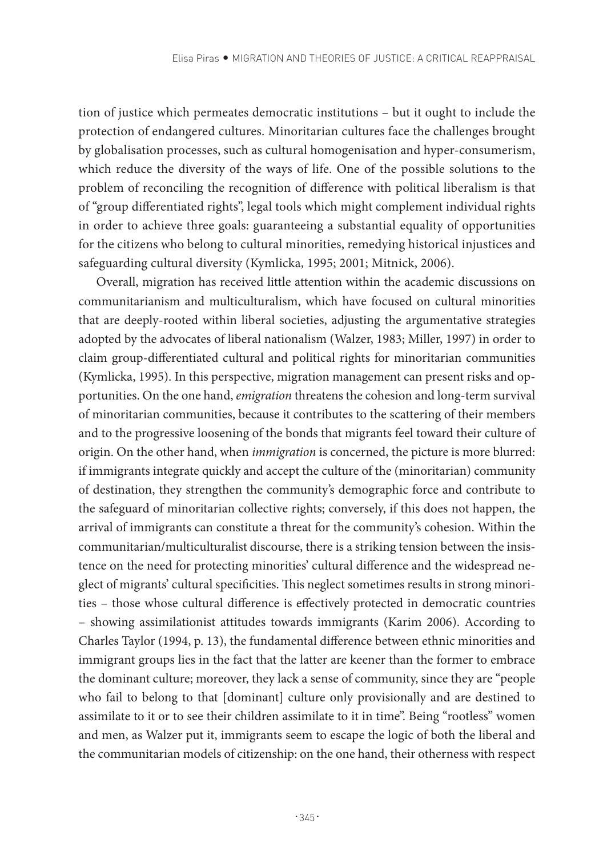tion of justice which permeates democratic institutions – but it ought to include the protection of endangered cultures. Minoritarian cultures face the challenges brought by globalisation processes, such as cultural homogenisation and hyper-consumerism, which reduce the diversity of the ways of life. One of the possible solutions to the problem of reconciling the recognition of difference with political liberalism is that of "group differentiated rights", legal tools which might complement individual rights in order to achieve three goals: guaranteeing a substantial equality of opportunities for the citizens who belong to cultural minorities, remedying historical injustices and safeguarding cultural diversity (Kymlicka, 1995; 2001; Mitnick, 2006).

Overall, migration has received little attention within the academic discussions on communitarianism and multiculturalism, which have focused on cultural minorities that are deeply-rooted within liberal societies, adjusting the argumentative strategies adopted by the advocates of liberal nationalism (Walzer, 1983; Miller, 1997) in order to claim group-differentiated cultural and political rights for minoritarian communities (Kymlicka, 1995). In this perspective, migration management can present risks and opportunities. On the one hand, *emigration* threatens the cohesion and long-term survival of minoritarian communities, because it contributes to the scattering of their members and to the progressive loosening of the bonds that migrants feel toward their culture of origin. On the other hand, when *immigration* is concerned, the picture is more blurred: if immigrants integrate quickly and accept the culture of the (minoritarian) community of destination, they strengthen the community's demographic force and contribute to the safeguard of minoritarian collective rights; conversely, if this does not happen, the arrival of immigrants can constitute a threat for the community's cohesion. Within the communitarian/multiculturalist discourse, there is a striking tension between the insistence on the need for protecting minorities' cultural difference and the widespread neglect of migrants' cultural specificities. This neglect sometimes results in strong minorities – those whose cultural difference is effectively protected in democratic countries – showing assimilationist attitudes towards immigrants (Karim 2006). According to Charles Taylor (1994, p. 13), the fundamental difference between ethnic minorities and immigrant groups lies in the fact that the latter are keener than the former to embrace the dominant culture; moreover, they lack a sense of community, since they are "people who fail to belong to that [dominant] culture only provisionally and are destined to assimilate to it or to see their children assimilate to it in time". Being "rootless" women and men, as Walzer put it, immigrants seem to escape the logic of both the liberal and the communitarian models of citizenship: on the one hand, their otherness with respect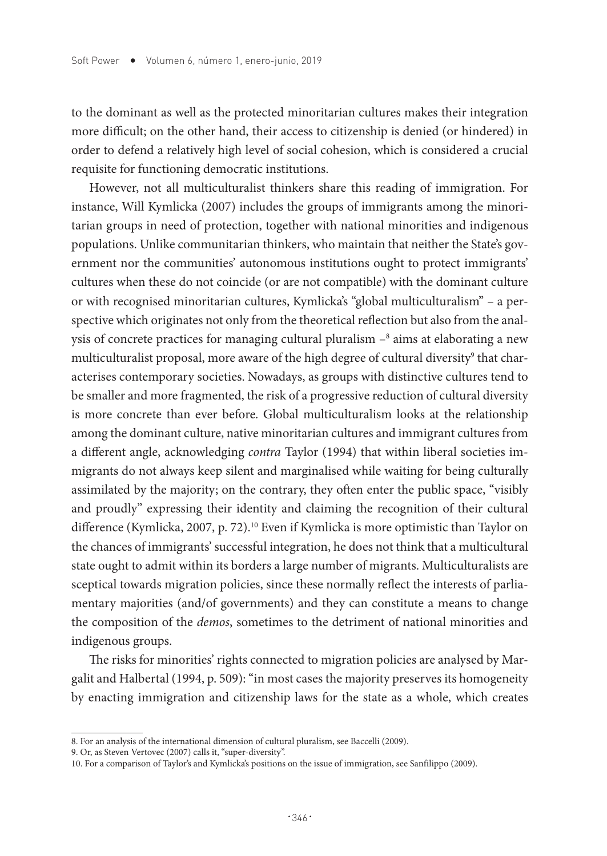to the dominant as well as the protected minoritarian cultures makes their integration more difficult; on the other hand, their access to citizenship is denied (or hindered) in order to defend a relatively high level of social cohesion, which is considered a crucial requisite for functioning democratic institutions.

However, not all multiculturalist thinkers share this reading of immigration. For instance, Will Kymlicka (2007) includes the groups of immigrants among the minoritarian groups in need of protection, together with national minorities and indigenous populations. Unlike communitarian thinkers, who maintain that neither the State's government nor the communities' autonomous institutions ought to protect immigrants' cultures when these do not coincide (or are not compatible) with the dominant culture or with recognised minoritarian cultures, Kymlicka's "global multiculturalism" – a perspective which originates not only from the theoretical reflection but also from the analysis of concrete practices for managing cultural pluralism – $^{\rm 8}$  aims at elaborating a new multiculturalist proposal, more aware of the high degree of cultural diversity<sup>9</sup> that characterises contemporary societies. Nowadays, as groups with distinctive cultures tend to be smaller and more fragmented, the risk of a progressive reduction of cultural diversity is more concrete than ever before. Global multiculturalism looks at the relationship among the dominant culture, native minoritarian cultures and immigrant cultures from a different angle, acknowledging *contra* Taylor (1994) that within liberal societies immigrants do not always keep silent and marginalised while waiting for being culturally assimilated by the majority; on the contrary, they often enter the public space, "visibly and proudly" expressing their identity and claiming the recognition of their cultural difference (Kymlicka, 2007, p. 72).<sup>10</sup> Even if Kymlicka is more optimistic than Taylor on the chances of immigrants' successful integration, he does not think that a multicultural state ought to admit within its borders a large number of migrants. Multiculturalists are sceptical towards migration policies, since these normally reflect the interests of parliamentary majorities (and/of governments) and they can constitute a means to change the composition of the *demos*, sometimes to the detriment of national minorities and indigenous groups.

The risks for minorities' rights connected to migration policies are analysed by Margalit and Halbertal (1994, p. 509): "in most cases the majority preserves its homogeneity by enacting immigration and citizenship laws for the state as a whole, which creates

<sup>8.</sup> For an analysis of the international dimension of cultural pluralism, see Baccelli (2009).

<sup>9.</sup> Or, as Steven Vertovec (2007) calls it, "super-diversity".

<sup>10.</sup> For a comparison of Taylor's and Kymlicka's positions on the issue of immigration, see Sanfilippo (2009).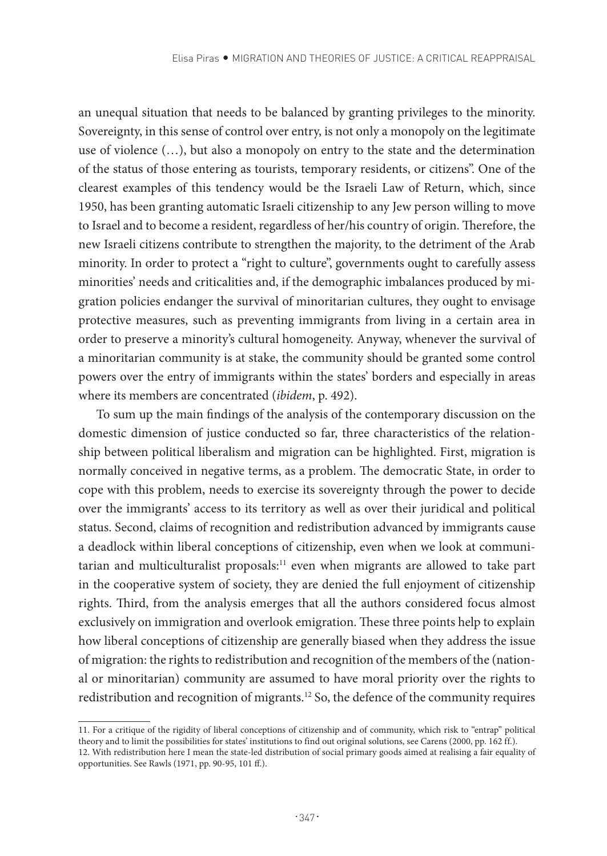an unequal situation that needs to be balanced by granting privileges to the minority. Sovereignty, in this sense of control over entry, is not only a monopoly on the legitimate use of violence (…), but also a monopoly on entry to the state and the determination of the status of those entering as tourists, temporary residents, or citizens". One of the clearest examples of this tendency would be the Israeli Law of Return, which, since 1950, has been granting automatic Israeli citizenship to any Jew person willing to move to Israel and to become a resident, regardless of her/his country of origin. Therefore, the new Israeli citizens contribute to strengthen the majority, to the detriment of the Arab minority. In order to protect a "right to culture", governments ought to carefully assess minorities' needs and criticalities and, if the demographic imbalances produced by migration policies endanger the survival of minoritarian cultures, they ought to envisage protective measures, such as preventing immigrants from living in a certain area in order to preserve a minority's cultural homogeneity. Anyway, whenever the survival of a minoritarian community is at stake, the community should be granted some control powers over the entry of immigrants within the states' borders and especially in areas where its members are concentrated (*ibidem*, p. 492).

To sum up the main findings of the analysis of the contemporary discussion on the domestic dimension of justice conducted so far, three characteristics of the relationship between political liberalism and migration can be highlighted. First, migration is normally conceived in negative terms, as a problem. The democratic State, in order to cope with this problem, needs to exercise its sovereignty through the power to decide over the immigrants' access to its territory as well as over their juridical and political status. Second, claims of recognition and redistribution advanced by immigrants cause a deadlock within liberal conceptions of citizenship, even when we look at communitarian and multiculturalist proposals:<sup>11</sup> even when migrants are allowed to take part in the cooperative system of society, they are denied the full enjoyment of citizenship rights. Third, from the analysis emerges that all the authors considered focus almost exclusively on immigration and overlook emigration. These three points help to explain how liberal conceptions of citizenship are generally biased when they address the issue of migration: the rights to redistribution and recognition of the members of the (national or minoritarian) community are assumed to have moral priority over the rights to redistribution and recognition of migrants.12 So, the defence of the community requires

<sup>11.</sup> For a critique of the rigidity of liberal conceptions of citizenship and of community, which risk to "entrap" political theory and to limit the possibilities for states' institutions to find out original solutions, see Carens (2000, pp. 162 ff.).

<sup>12.</sup> With redistribution here I mean the state-led distribution of social primary goods aimed at realising a fair equality of opportunities. See Rawls (1971, pp. 90-95, 101 ff.).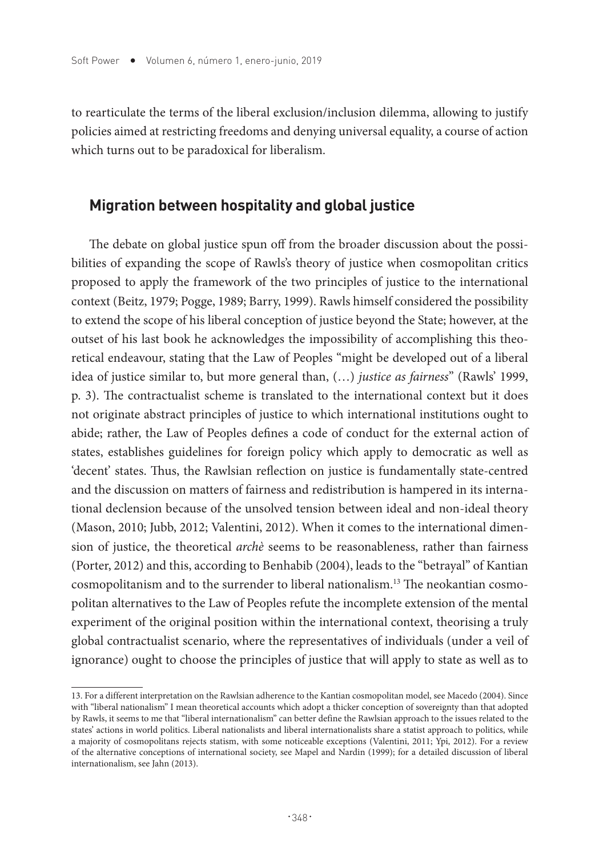to rearticulate the terms of the liberal exclusion/inclusion dilemma, allowing to justify policies aimed at restricting freedoms and denying universal equality, a course of action which turns out to be paradoxical for liberalism.

## **Migration between hospitality and global justice**

The debate on global justice spun off from the broader discussion about the possibilities of expanding the scope of Rawls's theory of justice when cosmopolitan critics proposed to apply the framework of the two principles of justice to the international context (Beitz, 1979; Pogge, 1989; Barry, 1999). Rawls himself considered the possibility to extend the scope of his liberal conception of justice beyond the State; however, at the outset of his last book he acknowledges the impossibility of accomplishing this theoretical endeavour, stating that the Law of Peoples "might be developed out of a liberal idea of justice similar to, but more general than, (…) *justice as fairness*" (Rawls' 1999, p. 3). The contractualist scheme is translated to the international context but it does not originate abstract principles of justice to which international institutions ought to abide; rather, the Law of Peoples defines a code of conduct for the external action of states, establishes guidelines for foreign policy which apply to democratic as well as 'decent' states. Thus, the Rawlsian reflection on justice is fundamentally state-centred and the discussion on matters of fairness and redistribution is hampered in its international declension because of the unsolved tension between ideal and non-ideal theory (Mason, 2010; Jubb, 2012; Valentini, 2012). When it comes to the international dimension of justice, the theoretical *archè* seems to be reasonableness, rather than fairness (Porter, 2012) and this, according to Benhabib (2004), leads to the "betrayal" of Kantian cosmopolitanism and to the surrender to liberal nationalism.13 The neokantian cosmopolitan alternatives to the Law of Peoples refute the incomplete extension of the mental experiment of the original position within the international context, theorising a truly global contractualist scenario, where the representatives of individuals (under a veil of ignorance) ought to choose the principles of justice that will apply to state as well as to

<sup>13.</sup> For a different interpretation on the Rawlsian adherence to the Kantian cosmopolitan model, see Macedo (2004). Since with "liberal nationalism" I mean theoretical accounts which adopt a thicker conception of sovereignty than that adopted by Rawls, it seems to me that "liberal internationalism" can better define the Rawlsian approach to the issues related to the states' actions in world politics. Liberal nationalists and liberal internationalists share a statist approach to politics, while a majority of cosmopolitans rejects statism, with some noticeable exceptions (Valentini, 2011; Ypi, 2012). For a review of the alternative conceptions of international society, see Mapel and Nardin (1999); for a detailed discussion of liberal internationalism, see Jahn (2013).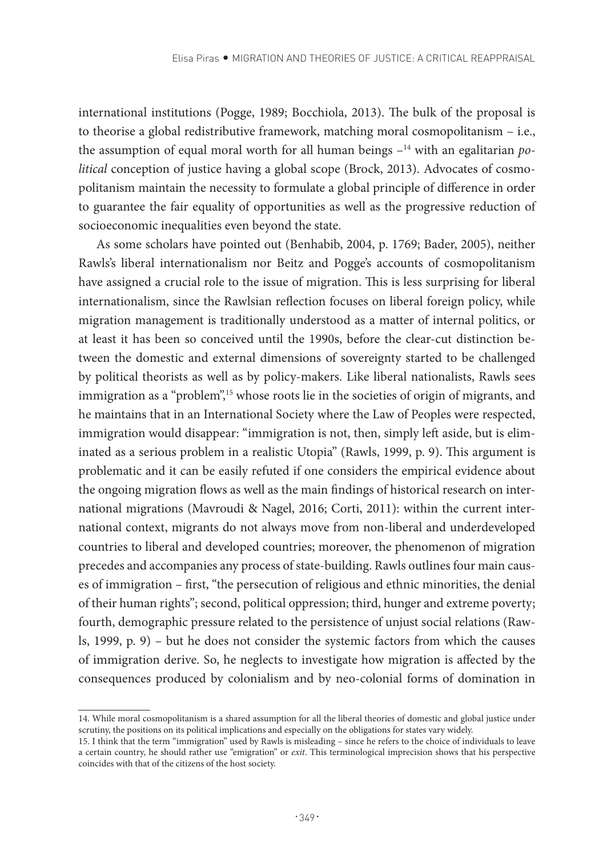international institutions (Pogge, 1989; Bocchiola, 2013). The bulk of the proposal is to theorise a global redistributive framework, matching moral cosmopolitanism – i.e., the assumption of equal moral worth for all human beings –14 with an egalitarian *political* conception of justice having a global scope (Brock, 2013). Advocates of cosmopolitanism maintain the necessity to formulate a global principle of difference in order to guarantee the fair equality of opportunities as well as the progressive reduction of socioeconomic inequalities even beyond the state.

As some scholars have pointed out (Benhabib, 2004, p. 1769; Bader, 2005), neither Rawls's liberal internationalism nor Beitz and Pogge's accounts of cosmopolitanism have assigned a crucial role to the issue of migration. This is less surprising for liberal internationalism, since the Rawlsian reflection focuses on liberal foreign policy, while migration management is traditionally understood as a matter of internal politics, or at least it has been so conceived until the 1990s, before the clear-cut distinction between the domestic and external dimensions of sovereignty started to be challenged by political theorists as well as by policy-makers. Like liberal nationalists, Rawls sees immigration as a "problem",<sup>15</sup> whose roots lie in the societies of origin of migrants, and he maintains that in an International Society where the Law of Peoples were respected, immigration would disappear: "immigration is not, then, simply left aside, but is eliminated as a serious problem in a realistic Utopia" (Rawls, 1999, p. 9). This argument is problematic and it can be easily refuted if one considers the empirical evidence about the ongoing migration flows as well as the main findings of historical research on international migrations (Mavroudi & Nagel, 2016; Corti, 2011): within the current international context, migrants do not always move from non-liberal and underdeveloped countries to liberal and developed countries; moreover, the phenomenon of migration precedes and accompanies any process of state-building. Rawls outlines four main causes of immigration – first, "the persecution of religious and ethnic minorities, the denial of their human rights"; second, political oppression; third, hunger and extreme poverty; fourth, demographic pressure related to the persistence of unjust social relations (Rawls, 1999, p. 9) – but he does not consider the systemic factors from which the causes of immigration derive. So, he neglects to investigate how migration is affected by the consequences produced by colonialism and by neo-colonial forms of domination in

<sup>14.</sup> While moral cosmopolitanism is a shared assumption for all the liberal theories of domestic and global justice under scrutiny, the positions on its political implications and especially on the obligations for states vary widely.

<sup>15.</sup> I think that the term "immigration" used by Rawls is misleading – since he refers to the choice of individuals to leave a certain country, he should rather use "emigration" or *exit*. This terminological imprecision shows that his perspective coincides with that of the citizens of the host society.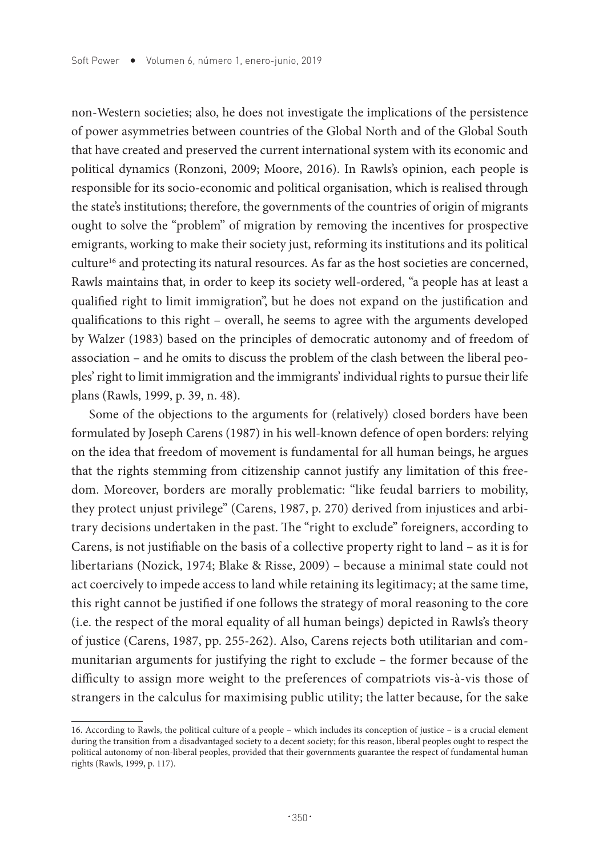non-Western societies; also, he does not investigate the implications of the persistence of power asymmetries between countries of the Global North and of the Global South that have created and preserved the current international system with its economic and political dynamics (Ronzoni, 2009; Moore, 2016). In Rawls's opinion, each people is responsible for its socio-economic and political organisation, which is realised through the state's institutions; therefore, the governments of the countries of origin of migrants ought to solve the "problem" of migration by removing the incentives for prospective emigrants, working to make their society just, reforming its institutions and its political culture<sup>16</sup> and protecting its natural resources. As far as the host societies are concerned, Rawls maintains that, in order to keep its society well-ordered, "a people has at least a qualified right to limit immigration", but he does not expand on the justification and qualifications to this right – overall, he seems to agree with the arguments developed by Walzer (1983) based on the principles of democratic autonomy and of freedom of association – and he omits to discuss the problem of the clash between the liberal peoples' right to limit immigration and the immigrants' individual rights to pursue their life plans (Rawls, 1999, p. 39, n. 48).

Some of the objections to the arguments for (relatively) closed borders have been formulated by Joseph Carens (1987) in his well-known defence of open borders: relying on the idea that freedom of movement is fundamental for all human beings, he argues that the rights stemming from citizenship cannot justify any limitation of this freedom. Moreover, borders are morally problematic: "like feudal barriers to mobility, they protect unjust privilege" (Carens, 1987, p. 270) derived from injustices and arbitrary decisions undertaken in the past. The "right to exclude" foreigners, according to Carens, is not justifiable on the basis of a collective property right to land – as it is for libertarians (Nozick, 1974; Blake & Risse, 2009) – because a minimal state could not act coercively to impede access to land while retaining its legitimacy; at the same time, this right cannot be justified if one follows the strategy of moral reasoning to the core (i.e. the respect of the moral equality of all human beings) depicted in Rawls's theory of justice (Carens, 1987, pp. 255-262). Also, Carens rejects both utilitarian and communitarian arguments for justifying the right to exclude – the former because of the difficulty to assign more weight to the preferences of compatriots vis-à-vis those of strangers in the calculus for maximising public utility; the latter because, for the sake

<sup>16.</sup> According to Rawls, the political culture of a people – which includes its conception of justice – is a crucial element during the transition from a disadvantaged society to a decent society; for this reason, liberal peoples ought to respect the political autonomy of non-liberal peoples, provided that their governments guarantee the respect of fundamental human rights (Rawls, 1999, p. 117).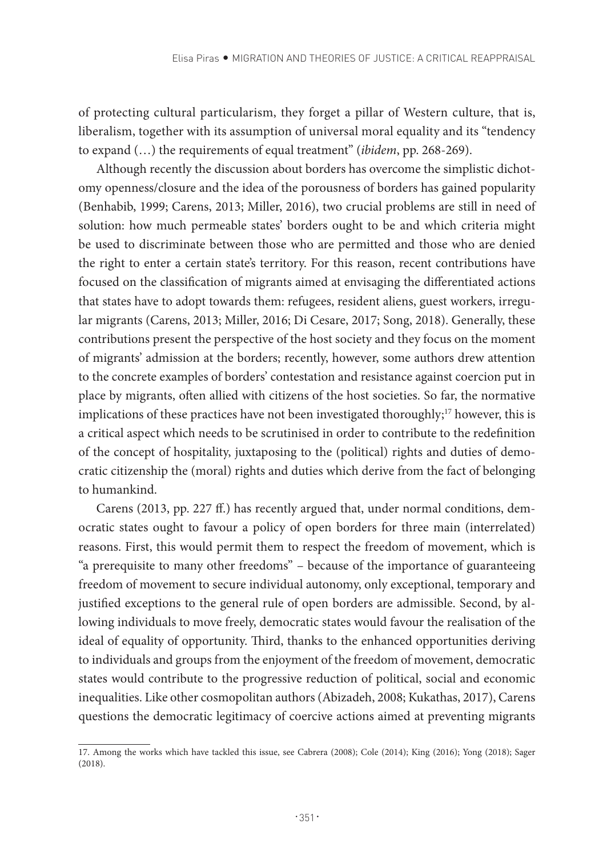of protecting cultural particularism, they forget a pillar of Western culture, that is, liberalism, together with its assumption of universal moral equality and its "tendency to expand (…) the requirements of equal treatment" (*ibidem*, pp. 268-269).

Although recently the discussion about borders has overcome the simplistic dichotomy openness/closure and the idea of the porousness of borders has gained popularity (Benhabib, 1999; Carens, 2013; Miller, 2016), two crucial problems are still in need of solution: how much permeable states' borders ought to be and which criteria might be used to discriminate between those who are permitted and those who are denied the right to enter a certain state's territory. For this reason, recent contributions have focused on the classification of migrants aimed at envisaging the differentiated actions that states have to adopt towards them: refugees, resident aliens, guest workers, irregular migrants (Carens, 2013; Miller, 2016; Di Cesare, 2017; Song, 2018). Generally, these contributions present the perspective of the host society and they focus on the moment of migrants' admission at the borders; recently, however, some authors drew attention to the concrete examples of borders' contestation and resistance against coercion put in place by migrants, often allied with citizens of the host societies. So far, the normative implications of these practices have not been investigated thoroughly;<sup>17</sup> however, this is a critical aspect which needs to be scrutinised in order to contribute to the redefinition of the concept of hospitality, juxtaposing to the (political) rights and duties of democratic citizenship the (moral) rights and duties which derive from the fact of belonging to humankind.

Carens (2013, pp. 227 ff.) has recently argued that, under normal conditions, democratic states ought to favour a policy of open borders for three main (interrelated) reasons. First, this would permit them to respect the freedom of movement, which is "a prerequisite to many other freedoms" – because of the importance of guaranteeing freedom of movement to secure individual autonomy, only exceptional, temporary and justified exceptions to the general rule of open borders are admissible. Second, by allowing individuals to move freely, democratic states would favour the realisation of the ideal of equality of opportunity. Third, thanks to the enhanced opportunities deriving to individuals and groups from the enjoyment of the freedom of movement, democratic states would contribute to the progressive reduction of political, social and economic inequalities. Like other cosmopolitan authors (Abizadeh, 2008; Kukathas, 2017), Carens questions the democratic legitimacy of coercive actions aimed at preventing migrants

<sup>17.</sup> Among the works which have tackled this issue, see Cabrera (2008); Cole (2014); King (2016); Yong (2018); Sager (2018).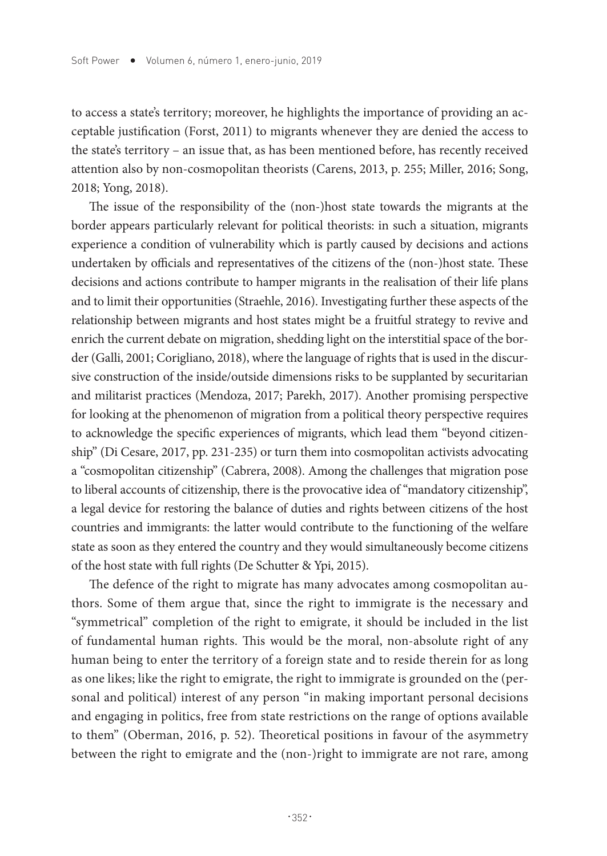to access a state's territory; moreover, he highlights the importance of providing an acceptable justification (Forst, 2011) to migrants whenever they are denied the access to the state's territory – an issue that, as has been mentioned before, has recently received attention also by non-cosmopolitan theorists (Carens, 2013, p. 255; Miller, 2016; Song, 2018; Yong, 2018).

The issue of the responsibility of the (non-)host state towards the migrants at the border appears particularly relevant for political theorists: in such a situation, migrants experience a condition of vulnerability which is partly caused by decisions and actions undertaken by officials and representatives of the citizens of the (non-)host state. These decisions and actions contribute to hamper migrants in the realisation of their life plans and to limit their opportunities (Straehle, 2016). Investigating further these aspects of the relationship between migrants and host states might be a fruitful strategy to revive and enrich the current debate on migration, shedding light on the interstitial space of the border (Galli, 2001; Corigliano, 2018), where the language of rights that is used in the discursive construction of the inside/outside dimensions risks to be supplanted by securitarian and militarist practices (Mendoza, 2017; Parekh, 2017). Another promising perspective for looking at the phenomenon of migration from a political theory perspective requires to acknowledge the specific experiences of migrants, which lead them "beyond citizenship" (Di Cesare, 2017, pp. 231-235) or turn them into cosmopolitan activists advocating a "cosmopolitan citizenship" (Cabrera, 2008). Among the challenges that migration pose to liberal accounts of citizenship, there is the provocative idea of "mandatory citizenship", a legal device for restoring the balance of duties and rights between citizens of the host countries and immigrants: the latter would contribute to the functioning of the welfare state as soon as they entered the country and they would simultaneously become citizens of the host state with full rights (De Schutter & Ypi, 2015).

The defence of the right to migrate has many advocates among cosmopolitan authors. Some of them argue that, since the right to immigrate is the necessary and "symmetrical" completion of the right to emigrate, it should be included in the list of fundamental human rights. This would be the moral, non-absolute right of any human being to enter the territory of a foreign state and to reside therein for as long as one likes; like the right to emigrate, the right to immigrate is grounded on the (personal and political) interest of any person "in making important personal decisions and engaging in politics, free from state restrictions on the range of options available to them" (Oberman, 2016, p. 52). Theoretical positions in favour of the asymmetry between the right to emigrate and the (non-)right to immigrate are not rare, among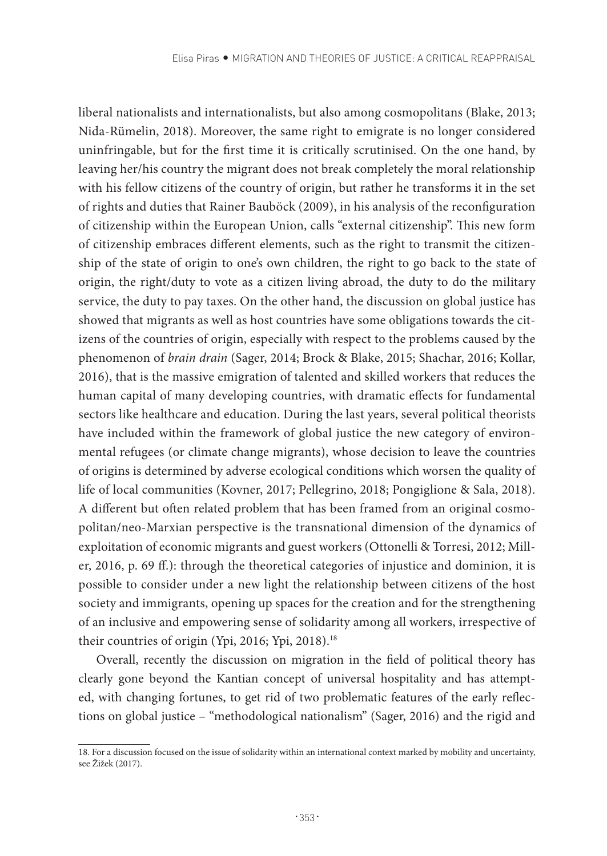liberal nationalists and internationalists, but also among cosmopolitans (Blake, 2013; Nida-Rümelin, 2018). Moreover, the same right to emigrate is no longer considered uninfringable, but for the first time it is critically scrutinised. On the one hand, by leaving her/his country the migrant does not break completely the moral relationship with his fellow citizens of the country of origin, but rather he transforms it in the set of rights and duties that Rainer Bauböck (2009), in his analysis of the reconfiguration of citizenship within the European Union, calls "external citizenship". This new form of citizenship embraces different elements, such as the right to transmit the citizenship of the state of origin to one's own children, the right to go back to the state of origin, the right/duty to vote as a citizen living abroad, the duty to do the military service, the duty to pay taxes. On the other hand, the discussion on global justice has showed that migrants as well as host countries have some obligations towards the citizens of the countries of origin, especially with respect to the problems caused by the phenomenon of *brain drain* (Sager, 2014; Brock & Blake, 2015; Shachar, 2016; Kollar, 2016), that is the massive emigration of talented and skilled workers that reduces the human capital of many developing countries, with dramatic effects for fundamental sectors like healthcare and education. During the last years, several political theorists have included within the framework of global justice the new category of environmental refugees (or climate change migrants), whose decision to leave the countries of origins is determined by adverse ecological conditions which worsen the quality of life of local communities (Kovner, 2017; Pellegrino, 2018; Pongiglione & Sala, 2018). A different but often related problem that has been framed from an original cosmopolitan/neo-Marxian perspective is the transnational dimension of the dynamics of exploitation of economic migrants and guest workers (Ottonelli & Torresi, 2012; Miller, 2016, p. 69 ff.): through the theoretical categories of injustice and dominion, it is possible to consider under a new light the relationship between citizens of the host society and immigrants, opening up spaces for the creation and for the strengthening of an inclusive and empowering sense of solidarity among all workers, irrespective of their countries of origin (Ypi, 2016; Ypi, 2018).<sup>18</sup>

Overall, recently the discussion on migration in the field of political theory has clearly gone beyond the Kantian concept of universal hospitality and has attempted, with changing fortunes, to get rid of two problematic features of the early reflections on global justice – "methodological nationalism" (Sager, 2016) and the rigid and

<sup>18.</sup> For a discussion focused on the issue of solidarity within an international context marked by mobility and uncertainty, see Žižek (2017).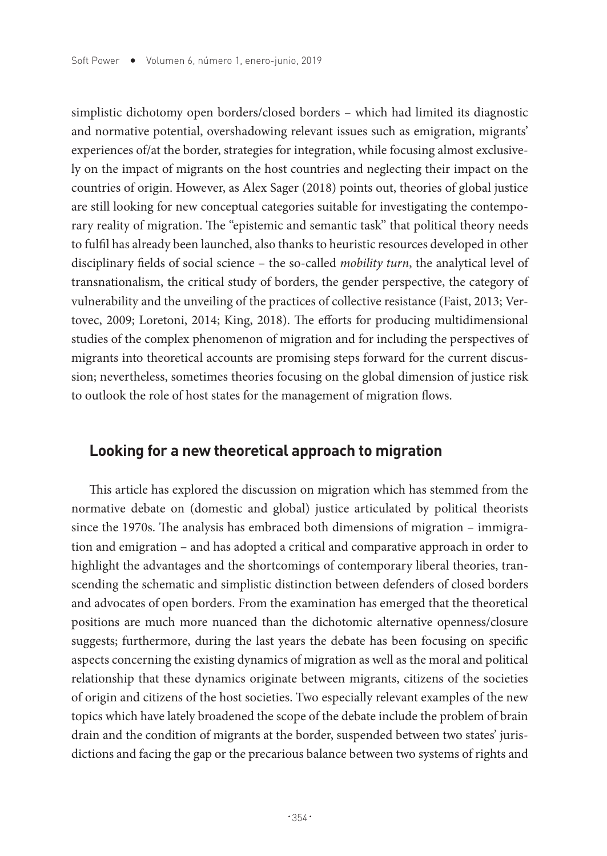simplistic dichotomy open borders/closed borders – which had limited its diagnostic and normative potential, overshadowing relevant issues such as emigration, migrants' experiences of/at the border, strategies for integration, while focusing almost exclusively on the impact of migrants on the host countries and neglecting their impact on the countries of origin. However, as Alex Sager (2018) points out, theories of global justice are still looking for new conceptual categories suitable for investigating the contemporary reality of migration. The "epistemic and semantic task" that political theory needs to fulfil has already been launched, also thanks to heuristic resources developed in other disciplinary fields of social science – the so-called *mobility turn*, the analytical level of transnationalism, the critical study of borders, the gender perspective, the category of vulnerability and the unveiling of the practices of collective resistance (Faist, 2013; Vertovec, 2009; Loretoni, 2014; King, 2018). The efforts for producing multidimensional studies of the complex phenomenon of migration and for including the perspectives of migrants into theoretical accounts are promising steps forward for the current discussion; nevertheless, sometimes theories focusing on the global dimension of justice risk to outlook the role of host states for the management of migration flows.

## **Looking for a new theoretical approach to migration**

This article has explored the discussion on migration which has stemmed from the normative debate on (domestic and global) justice articulated by political theorists since the 1970s. The analysis has embraced both dimensions of migration – immigration and emigration – and has adopted a critical and comparative approach in order to highlight the advantages and the shortcomings of contemporary liberal theories, transcending the schematic and simplistic distinction between defenders of closed borders and advocates of open borders. From the examination has emerged that the theoretical positions are much more nuanced than the dichotomic alternative openness/closure suggests; furthermore, during the last years the debate has been focusing on specific aspects concerning the existing dynamics of migration as well as the moral and political relationship that these dynamics originate between migrants, citizens of the societies of origin and citizens of the host societies. Two especially relevant examples of the new topics which have lately broadened the scope of the debate include the problem of brain drain and the condition of migrants at the border, suspended between two states' jurisdictions and facing the gap or the precarious balance between two systems of rights and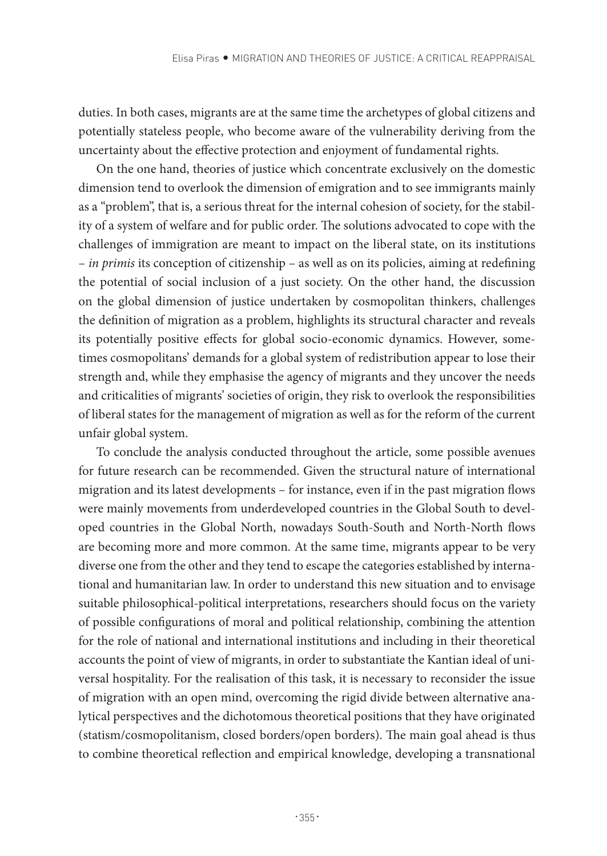duties. In both cases, migrants are at the same time the archetypes of global citizens and potentially stateless people, who become aware of the vulnerability deriving from the uncertainty about the effective protection and enjoyment of fundamental rights.

On the one hand, theories of justice which concentrate exclusively on the domestic dimension tend to overlook the dimension of emigration and to see immigrants mainly as a "problem", that is, a serious threat for the internal cohesion of society, for the stability of a system of welfare and for public order. The solutions advocated to cope with the challenges of immigration are meant to impact on the liberal state, on its institutions – *in primis* its conception of citizenship – as well as on its policies, aiming at redefining the potential of social inclusion of a just society. On the other hand, the discussion on the global dimension of justice undertaken by cosmopolitan thinkers, challenges the definition of migration as a problem, highlights its structural character and reveals its potentially positive effects for global socio-economic dynamics. However, sometimes cosmopolitans' demands for a global system of redistribution appear to lose their strength and, while they emphasise the agency of migrants and they uncover the needs and criticalities of migrants' societies of origin, they risk to overlook the responsibilities of liberal states for the management of migration as well as for the reform of the current unfair global system.

To conclude the analysis conducted throughout the article, some possible avenues for future research can be recommended. Given the structural nature of international migration and its latest developments – for instance, even if in the past migration flows were mainly movements from underdeveloped countries in the Global South to developed countries in the Global North, nowadays South-South and North-North flows are becoming more and more common. At the same time, migrants appear to be very diverse one from the other and they tend to escape the categories established by international and humanitarian law. In order to understand this new situation and to envisage suitable philosophical-political interpretations, researchers should focus on the variety of possible configurations of moral and political relationship, combining the attention for the role of national and international institutions and including in their theoretical accounts the point of view of migrants, in order to substantiate the Kantian ideal of universal hospitality. For the realisation of this task, it is necessary to reconsider the issue of migration with an open mind, overcoming the rigid divide between alternative analytical perspectives and the dichotomous theoretical positions that they have originated (statism/cosmopolitanism, closed borders/open borders). The main goal ahead is thus to combine theoretical reflection and empirical knowledge, developing a transnational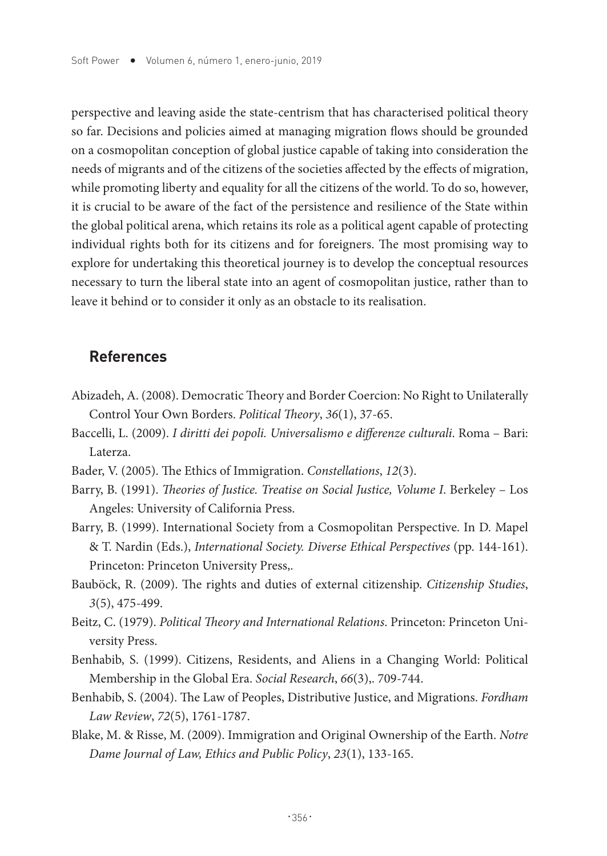perspective and leaving aside the state-centrism that has characterised political theory so far. Decisions and policies aimed at managing migration flows should be grounded on a cosmopolitan conception of global justice capable of taking into consideration the needs of migrants and of the citizens of the societies affected by the effects of migration, while promoting liberty and equality for all the citizens of the world. To do so, however, it is crucial to be aware of the fact of the persistence and resilience of the State within the global political arena, which retains its role as a political agent capable of protecting individual rights both for its citizens and for foreigners. The most promising way to explore for undertaking this theoretical journey is to develop the conceptual resources necessary to turn the liberal state into an agent of cosmopolitan justice, rather than to leave it behind or to consider it only as an obstacle to its realisation.

## **References**

- Abizadeh, A. (2008). Democratic Theory and Border Coercion: No Right to Unilaterally Control Your Own Borders. *Political Theory*, *36*(1), 37-65.
- Baccelli, L. (2009). *I diritti dei popoli. Universalismo e differenze culturali*. Roma Bari: Laterza.
- Bader, V. (2005). The Ethics of Immigration. *Constellations*, *12*(3).
- Barry, B. (1991). *Theories of Justice. Treatise on Social Justice, Volume I*. Berkeley Los Angeles: University of California Press.
- Barry, B. (1999). International Society from a Cosmopolitan Perspective. In D. Mapel & T. Nardin (Eds.), *International Society. Diverse Ethical Perspectives* (pp. 144-161). Princeton: Princeton University Press,.
- Bauböck, R. (2009). The rights and duties of external citizenship. *Citizenship Studies*, *3*(5), 475-499.
- Beitz, C. (1979). *Political Theory and International Relations*. Princeton: Princeton University Press.
- Benhabib, S. (1999). Citizens, Residents, and Aliens in a Changing World: Political Membership in the Global Era. *Social Research*, *66*(3),. 709-744.
- Benhabib, S. (2004). The Law of Peoples, Distributive Justice, and Migrations. *Fordham Law Review*, *72*(5), 1761-1787.
- Blake, M. & Risse, M. (2009). Immigration and Original Ownership of the Earth. *Notre Dame Journal of Law, Ethics and Public Policy*, *23*(1), 133-165.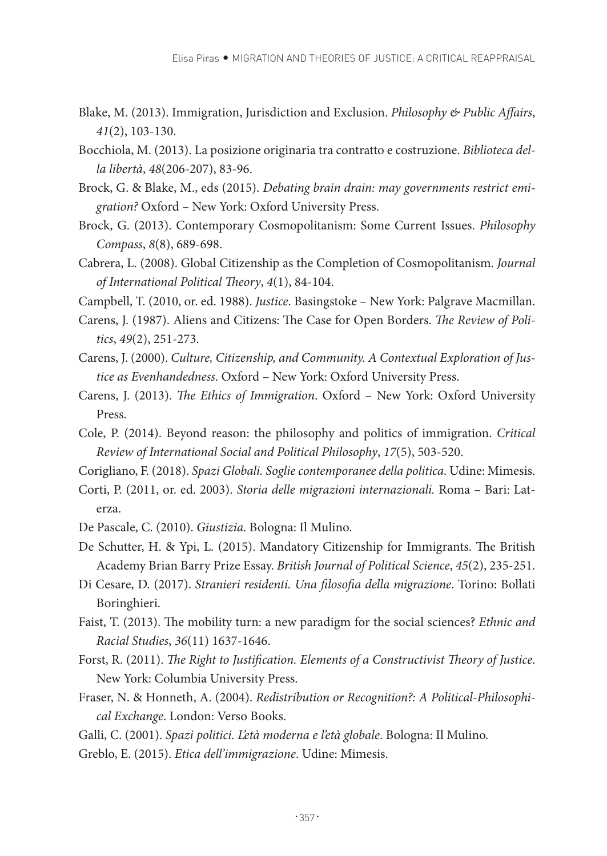- Blake, M. (2013). Immigration, Jurisdiction and Exclusion. *Philosophy & Public Affairs*, *41*(2), 103-130.
- Bocchiola, M. (2013). La posizione originaria tra contratto e costruzione. *Biblioteca della libertà*, *48*(206-207), 83-96.
- Brock, G. & Blake, M., eds (2015). *Debating brain drain: may governments restrict emigration?* Oxford – New York: Oxford University Press.
- Brock, G. (2013). Contemporary Cosmopolitanism: Some Current Issues. *Philosophy Compass*, *8*(8), 689-698.
- Cabrera, L. (2008). Global Citizenship as the Completion of Cosmopolitanism. *Journal of International Political Theory*, *4*(1), 84-104.
- Campbell, T. (2010, or. ed. 1988). *Justice*. Basingstoke New York: Palgrave Macmillan.
- Carens, J. (1987). Aliens and Citizens: The Case for Open Borders. *The Review of Politics*, *49*(2), 251-273.
- Carens, J. (2000). *Culture, Citizenship, and Community. A Contextual Exploration of Justice as Evenhandedness*. Oxford – New York: Oxford University Press.
- Carens, J. (2013). *The Ethics of Immigration*. Oxford New York: Oxford University Press.
- Cole, P. (2014). Beyond reason: the philosophy and politics of immigration. *Critical Review of International Social and Political Philosophy*, *17*(5), 503-520.
- Corigliano, F. (2018). *Spazi Globali. Soglie contemporanee della politica*. Udine: Mimesis.
- Corti, P. (2011, or. ed. 2003). *Storia delle migrazioni internazionali.* Roma Bari: Laterza.
- De Pascale, C. (2010). *Giustizia*. Bologna: Il Mulino.
- De Schutter, H. & Ypi, L. (2015). Mandatory Citizenship for Immigrants. The British Academy Brian Barry Prize Essay. *British Journal of Political Science*, *45*(2), 235-251.
- Di Cesare, D. (2017). *Stranieri residenti. Una filosofia della migrazione*. Torino: Bollati Boringhieri.
- Faist, T. (2013). The mobility turn: a new paradigm for the social sciences? *Ethnic and Racial Studies*, *36*(11) 1637-1646.
- Forst, R. (2011). *The Right to Justification. Elements of a Constructivist Theory of Justice*. New York: Columbia University Press.
- Fraser, N. & Honneth, A. (2004). *Redistribution or Recognition?: A Political-Philosophical Exchange*. London: Verso Books.
- Galli, C. (2001). *Spazi politici. L'età moderna e l'età globale*. Bologna: Il Mulino.
- Greblo, E. (2015). *Etica dell'immigrazione*. Udine: Mimesis.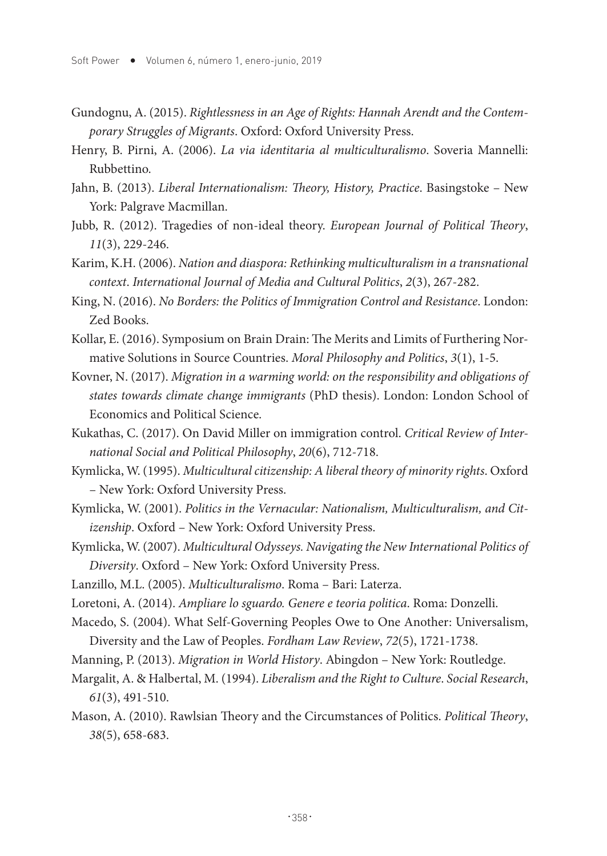- Gundognu, A. (2015). *Rightlessness in an Age of Rights: Hannah Arendt and the Contemporary Struggles of Migrants*. Oxford: Oxford University Press.
- Henry, B. Pirni, A. (2006). *La via identitaria al multiculturalismo*. Soveria Mannelli: Rubbettino.
- Jahn, B. (2013). *Liberal Internationalism: Theory, History, Practice*. Basingstoke New York: Palgrave Macmillan.
- Jubb, R. (2012). Tragedies of non-ideal theory. *European Journal of Political Theory*, *11*(3), 229-246.
- Karim, K.H. (2006). *Nation and diaspora: Rethinking multiculturalism in a transnational context*. *International Journal of Media and Cultural Politics*, *2*(3), 267-282.
- King, N. (2016). *No Borders: the Politics of Immigration Control and Resistance*. London: Zed Books.
- Kollar, E. (2016). Symposium on Brain Drain: The Merits and Limits of Furthering Normative Solutions in Source Countries. *Moral Philosophy and Politics*, *3*(1), 1-5.
- Kovner, N. (2017). *Migration in a warming world: on the responsibility and obligations of states towards climate change immigrants* (PhD thesis). London: London School of Economics and Political Science.
- Kukathas, C. (2017). On David Miller on immigration control. *Critical Review of International Social and Political Philosophy*, *20*(6), 712-718.
- Kymlicka, W. (1995). *Multicultural citizenship: A liberal theory of minority rights*. Oxford – New York: Oxford University Press.
- Kymlicka, W. (2001). *Politics in the Vernacular: Nationalism, Multiculturalism, and Citizenship*. Oxford – New York: Oxford University Press.
- Kymlicka, W. (2007). *Multicultural Odysseys. Navigating the New International Politics of Diversity*. Oxford – New York: Oxford University Press.
- Lanzillo, M.L. (2005). *Multiculturalismo*. Roma Bari: Laterza.
- Loretoni, A. (2014). *Ampliare lo sguardo. Genere e teoria politica*. Roma: Donzelli.
- Macedo, S. (2004). What Self-Governing Peoples Owe to One Another: Universalism, Diversity and the Law of Peoples. *Fordham Law Review*, *72*(5), 1721-1738.
- Manning, P. (2013). *Migration in World History*. Abingdon New York: Routledge.
- Margalit, A. & Halbertal, M. (1994). *Liberalism and the Right to Culture*. *Social Research*, *61*(3), 491-510.
- Mason, A. (2010). Rawlsian Theory and the Circumstances of Politics. *Political Theory*, *38*(5), 658-683.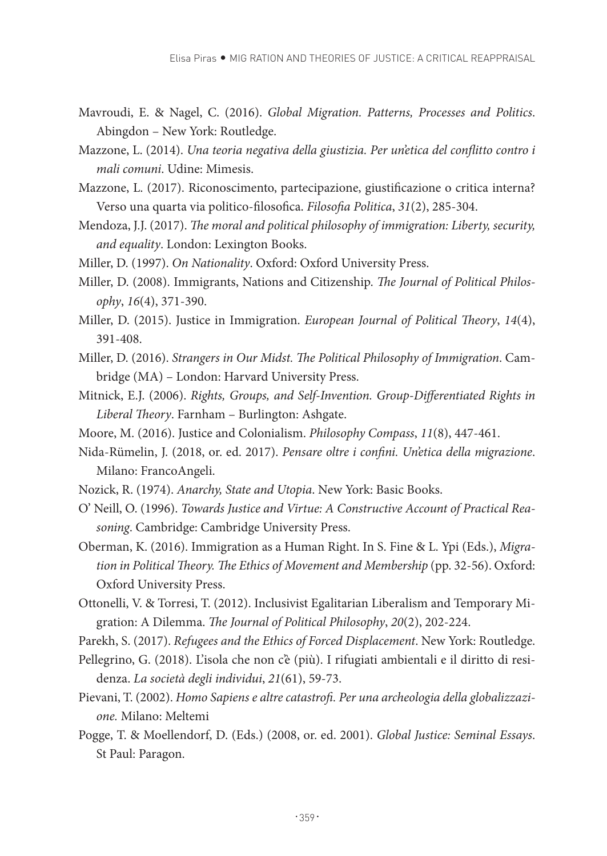- Mavroudi, E. & Nagel, C. (2016). *Global Migration. Patterns, Processes and Politics*. Abingdon – New York: Routledge.
- Mazzone, L. (2014). *Una teoria negativa della giustizia. Per un'etica del conflitto contro i mali comuni*. Udine: Mimesis.
- Mazzone, L. (2017). Riconoscimento, partecipazione, giustificazione o critica interna? Verso una quarta via politico-filosofica. *Filosofia Politica*, *31*(2), 285-304.
- Mendoza, J.J. (2017). *The moral and political philosophy of immigration: Liberty, security, and equality*. London: Lexington Books.
- Miller, D. (1997). *On Nationality*. Oxford: Oxford University Press.
- Miller, D. (2008). Immigrants, Nations and Citizenship. *The Journal of Political Philosophy*, *16*(4), 371-390.
- Miller, D. (2015). Justice in Immigration. *European Journal of Political Theory*, *14*(4), 391-408.
- Miller, D. (2016). *Strangers in Our Midst. The Political Philosophy of Immigration*. Cambridge (MA) – London: Harvard University Press.
- Mitnick, E.J. (2006). *Rights, Groups, and Self-Invention. Group-Differentiated Rights in Liberal Theory*. Farnham – Burlington: Ashgate.
- Moore, M. (2016). Justice and Colonialism. *Philosophy Compass*, *11*(8), 447-461.
- Nida-Rümelin, J. (2018, or. ed. 2017). *Pensare oltre i confini. Un'etica della migrazione*. Milano: FrancoAngeli.
- Nozick, R. (1974). *Anarchy, State and Utopia*. New York: Basic Books.
- O' Neill, O. (1996). *Towards Justice and Virtue: A Constructive Account of Practical Reasoning*. Cambridge: Cambridge University Press.
- Oberman, K. (2016). Immigration as a Human Right. In S. Fine & L. Ypi (Eds.), *Migration in Political Theory. The Ethics of Movement and Membership (pp. 32-56). Oxford:* Oxford University Press.
- Ottonelli, V. & Torresi, T. (2012). Inclusivist Egalitarian Liberalism and Temporary Migration: A Dilemma. *The Journal of Political Philosophy*, *20*(2), 202-224.
- Parekh, S. (2017). *Refugees and the Ethics of Forced Displacement*. New York: Routledge.
- Pellegrino, G. (2018). L'isola che non c'è (più). I rifugiati ambientali e il diritto di residenza. *La società degli individui*, *21*(61), 59-73.
- Pievani, T. (2002). *Homo Sapiens e altre catastrofi. Per una archeologia della globalizzazione.* Milano: Meltemi
- Pogge, T. & Moellendorf, D. (Eds.) (2008, or. ed. 2001). *Global Justice: Seminal Essays*. St Paul: Paragon.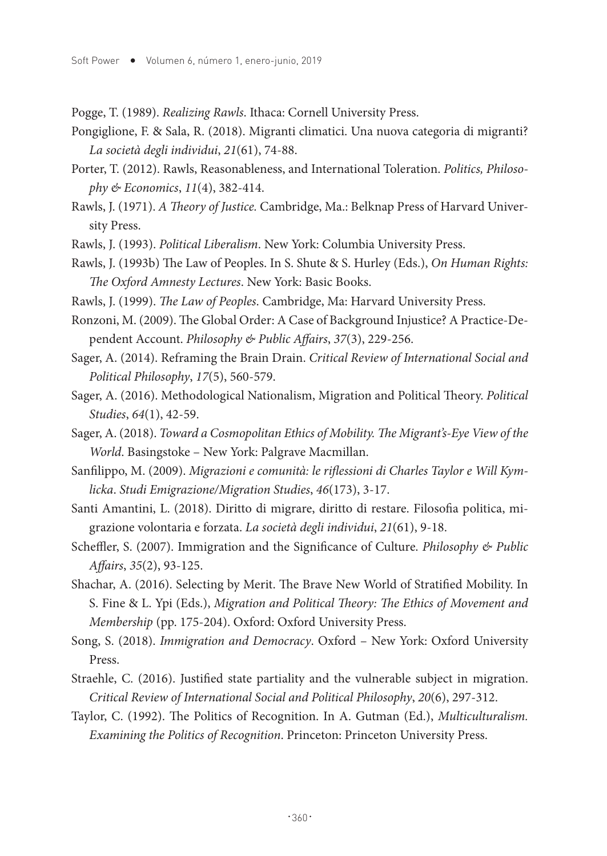Pogge, T. (1989). *Realizing Rawls*. Ithaca: Cornell University Press.

- Pongiglione, F. & Sala, R. (2018). Migranti climatici. Una nuova categoria di migranti? *La società degli individui*, *21*(61), 74-88.
- Porter, T. (2012). Rawls, Reasonableness, and International Toleration. *Politics, Philosophy & Economics*, *11*(4), 382-414.
- Rawls, J. (1971). *A Theory of Justice.* Cambridge, Ma.: Belknap Press of Harvard University Press.
- Rawls, J. (1993). *Political Liberalism*. New York: Columbia University Press.
- Rawls, J. (1993b) The Law of Peoples. In S. Shute & S. Hurley (Eds.), *On Human Rights: The Oxford Amnesty Lectures*. New York: Basic Books.
- Rawls, J. (1999). *The Law of Peoples*. Cambridge, Ma: Harvard University Press.
- Ronzoni, M. (2009). The Global Order: A Case of Background Injustice? A Practice-Dependent Account. *Philosophy & Public Affairs*, *37*(3), 229-256.
- Sager, A. (2014). Reframing the Brain Drain. *Critical Review of International Social and Political Philosophy*, *17*(5), 560-579.
- Sager, A. (2016). Methodological Nationalism, Migration and Political Theory. *Political Studies*, *64*(1), 42-59.
- Sager, A. (2018). *Toward a Cosmopolitan Ethics of Mobility. The Migrant's-Eye View of the World*. Basingstoke – New York: Palgrave Macmillan.
- Sanfilippo, M. (2009). *Migrazioni e comunità: le riflessioni di Charles Taylor e Will Kymlicka*. *Studi Emigrazione/Migration Studies*, *46*(173), 3-17.
- Santi Amantini, L. (2018). Diritto di migrare, diritto di restare. Filosofia politica, migrazione volontaria e forzata. *La società degli individui*, *21*(61), 9-18.
- Scheffler, S. (2007). Immigration and the Significance of Culture. *Philosophy & Public Affairs*, *35*(2), 93-125.
- Shachar, A. (2016). Selecting by Merit. The Brave New World of Stratified Mobility. In S. Fine & L. Ypi (Eds.), *Migration and Political Theory: The Ethics of Movement and Membership* (pp. 175-204). Oxford: Oxford University Press.
- Song, S. (2018). *Immigration and Democracy*. Oxford New York: Oxford University Press.
- Straehle, C. (2016). Justified state partiality and the vulnerable subject in migration. *Critical Review of International Social and Political Philosophy*, *20*(6), 297-312.
- Taylor, C. (1992). The Politics of Recognition. In A. Gutman (Ed.), *Multiculturalism. Examining the Politics of Recognition*. Princeton: Princeton University Press.